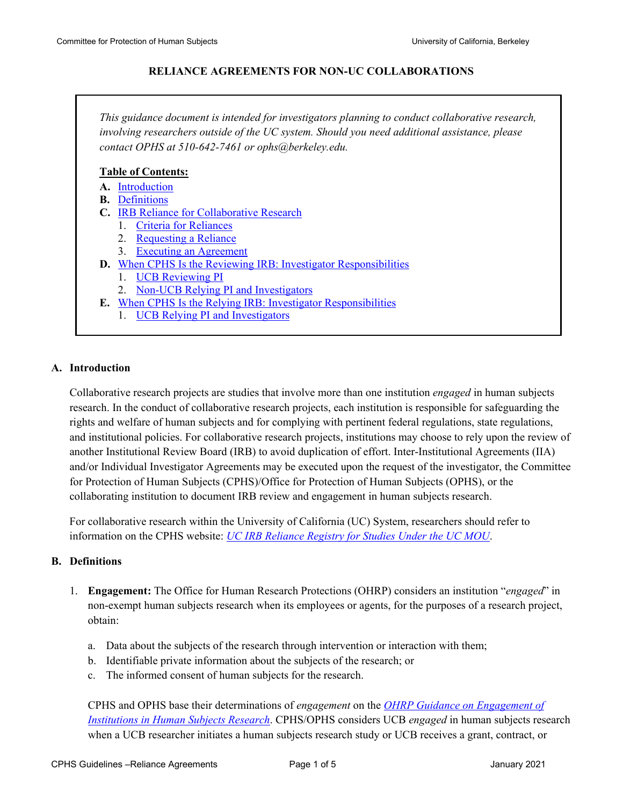#### **RELIANCE AGREEMENTS FOR NON-UC COLLABORATIONS**

*This guidance document is intended for investigators planning to conduct collaborative research, involving researchers outside of the UC system. Should you need additional assistance, please contact OPHS at 510-642-7461 or ophs@berkeley.edu.*

#### **Table of Contents:**

- **A.** [Introduction](#page-0-0)
- **B.** [Definitions](#page-0-1)
- **C.** [IRB Reliance for Collaborative Research](#page-1-0)
	- 1. [Criteria for Reliances](#page-1-1)
	- 2. [Requesting a Reliance](#page-2-0)
	- 3. [Executing an Agreement](#page-2-1)
- **D.** [When CPHS Is the Reviewing IRB: Investigator Responsibilities](#page-2-2)
	- 1. [UCB Reviewing PI](#page-2-3)
	- 2. [Non-UCB Relying PI and Investigators](#page-3-0)
- **E.** [When CPHS Is the Relying IRB: Investigator Responsibilities](#page-3-1)
	- 1. [UCB Relying PI and Investigators](#page-3-2)

# <span id="page-0-0"></span>**A. Introduction**

Collaborative research projects are studies that involve more than one institution *engaged* in human subjects research. In the conduct of collaborative research projects, each institution is responsible for safeguarding the rights and welfare of human subjects and for complying with pertinent federal regulations, state regulations, and institutional policies. For collaborative research projects, institutions may choose to rely upon the review of another Institutional Review Board (IRB) to avoid duplication of effort. Inter-Institutional Agreements (IIA) and/or Individual Investigator Agreements may be executed upon the request of the investigator, the Committee for Protection of Human Subjects (CPHS)/Office for Protection of Human Subjects (OPHS), or the collaborating institution to document IRB review and engagement in human subjects research.

For collaborative research within the University of California (UC) System, researchers should refer to information on the CPHS website: *[UC IRB Reliance Registry for Studies Under the UC MOU](http://cphs.berkeley.edu/irbreliance.html)*.

#### <span id="page-0-1"></span>**B. Definitions**

- 1. **Engagement:** The Office for Human Research Protections (OHRP) considers an institution "*engaged*" in non-exempt human subjects research when its employees or agents, for the purposes of a research project, obtain:
	- a. Data about the subjects of the research through intervention or interaction with them;
	- b. Identifiable private information about the subjects of the research; or
	- c. The informed consent of human subjects for the research.

CPHS and OPHS base their determinations of *engagement* on the *[OHRP Guidance on Engagement of](http://www.hhs.gov/ohrp/policy/engage08.html)  [Institutions in Human Subjects Research](http://www.hhs.gov/ohrp/policy/engage08.html)*. CPHS/OPHS considers UCB *engaged* in human subjects research when a UCB researcher initiates a human subjects research study or UCB receives a grant, contract, or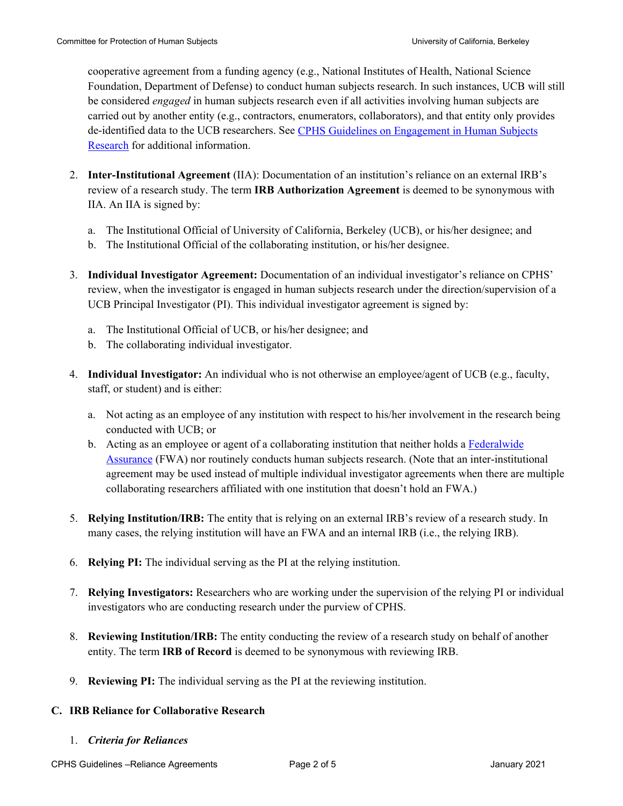cooperative agreement from a funding agency (e.g., National Institutes of Health, National Science Foundation, Department of Defense) to conduct human subjects research. In such instances, UCB will still be considered *engaged* in human subjects research even if all activities involving human subjects are carried out by another entity (e.g., contractors, enumerators, collaborators), and that entity only provides de-identified data to the UCB researchers. See [CPHS Guidelines on Engagement in Human Subjects](https://cphs.berkeley.edu/engagement.pdf)  [Research](https://cphs.berkeley.edu/engagement.pdf) for additional information.

- 2. **Inter-Institutional Agreement** (IIA): Documentation of an institution's reliance on an external IRB's review of a research study. The term **IRB Authorization Agreement** is deemed to be synonymous with IIA. An IIA is signed by:
	- a. The Institutional Official of University of California, Berkeley (UCB), or his/her designee; and
	- b. The Institutional Official of the collaborating institution, or his/her designee.
- 3. **Individual Investigator Agreement:** Documentation of an individual investigator's reliance on CPHS' review, when the investigator is engaged in human subjects research under the direction/supervision of a UCB Principal Investigator (PI). This individual investigator agreement is signed by:
	- a. The Institutional Official of UCB, or his/her designee; and
	- b. The collaborating individual investigator.
- 4. **Individual Investigator:** An individual who is not otherwise an employee/agent of UCB (e.g., faculty, staff, or student) and is either:
	- a. Not acting as an employee of any institution with respect to his/her involvement in the research being conducted with UCB; or
	- b. Acting as an employee or agent of a collaborating institution that neither holds a [Federalwide](http://www.hhs.gov/ohrp/assurances/assurances/filasurt.html)  [Assurance](http://www.hhs.gov/ohrp/assurances/assurances/filasurt.html) (FWA) nor routinely conducts human subjects research. (Note that an inter-institutional agreement may be used instead of multiple individual investigator agreements when there are multiple collaborating researchers affiliated with one institution that doesn't hold an FWA.)
- 5. **Relying Institution/IRB:** The entity that is relying on an external IRB's review of a research study. In many cases, the relying institution will have an FWA and an internal IRB (i.e., the relying IRB).
- 6. **Relying PI:** The individual serving as the PI at the relying institution.
- 7. **Relying Investigators:** Researchers who are working under the supervision of the relying PI or individual investigators who are conducting research under the purview of CPHS.
- 8. **Reviewing Institution/IRB:** The entity conducting the review of a research study on behalf of another entity. The term **IRB of Record** is deemed to be synonymous with reviewing IRB.
- 9. **Reviewing PI:** The individual serving as the PI at the reviewing institution.

# <span id="page-1-0"></span>**C. IRB Reliance for Collaborative Research**

<span id="page-1-1"></span>1. *Criteria for Reliances*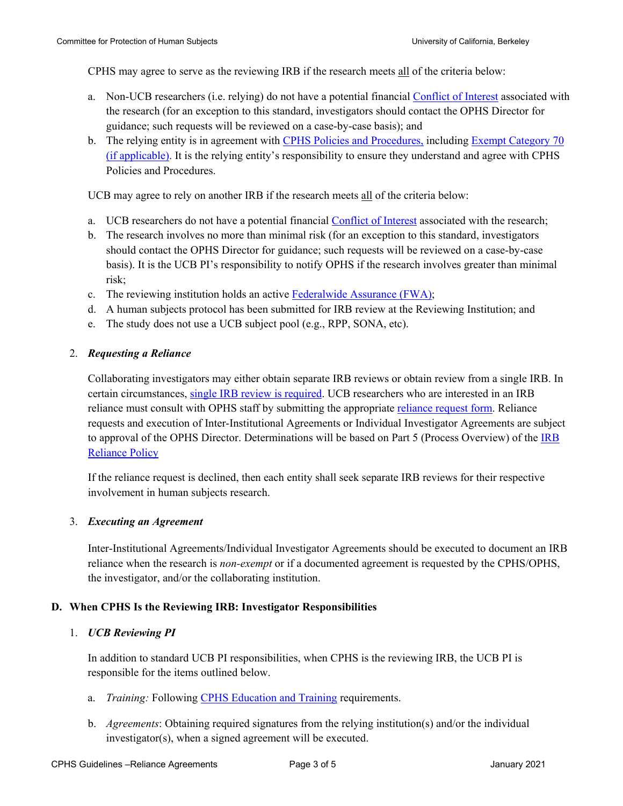CPHS may agree to serve as the reviewing IRB if the research meets all of the criteria below:

- a. Non-UCB researchers (i.e. relying) do not have a potential financial [Conflict of Interest](http://researchcoi.berkeley.edu/) associated with the research (for an exception to this standard, investigators should contact the OPHS Director for guidance; such requests will be reviewed on a case-by-case basis); and
- b. The relying entity is in agreement with [CPHS Policies and Procedures,](http://cphs.berkeley.edu/policies_procedures.html) including [Exempt Category 70](https://cphs.berkeley.edu/guide/exemptcategory70.html)  [\(if applicable\).](https://cphs.berkeley.edu/guide/exemptcategory70.html) It is the relying entity's responsibility to ensure they understand and agree with CPHS Policies and Procedures.

UCB may agree to rely on another IRB if the research meets all of the criteria below:

- a. UCB researchers do not have a potential financial [Conflict of Interest](http://researchcoi.berkeley.edu/) associated with the research;
- b. The research involves no more than minimal risk (for an exception to this standard, investigators should contact the OPHS Director for guidance; such requests will be reviewed on a case-by-case basis). It is the UCB PI's responsibility to notify OPHS if the research involves greater than minimal risk;
- c. The reviewing institution holds an active [Federalwide Assurance \(FWA\);](https://ohrp.cit.nih.gov/search/search.aspx?styp=bsc)
- d. A human subjects protocol has been submitted for IRB review at the Reviewing Institution; and
- e. The study does not use a UCB subject pool (e.g., RPP, SONA, etc).

# <span id="page-2-0"></span>2. *Requesting a Reliance*

Collaborating investigators may either obtain separate IRB reviews or obtain review from a single IRB. In certain circumstances, [single IRB review is required.](https://www.ecfr.gov/cgi-bin/text-idx?mc=true&node=pt45.1.46&rgn=div5#se45.1.46_1114) UCB researchers who are interested in an IRB reliance must consult with OPHS staff by submitting the appropriate [reliance request form.](https://cphs.berkeley.edu/mou.html) Reliance requests and execution of Inter-Institutional Agreements or Individual Investigator Agreements are subject to approval of the OPHS Director. Determinations will be based on Part 5 (Process Overview) of the [IRB](http://cphs.berkeley.edu/policies_procedures/rr412.pdf)  [Reliance Policy](http://cphs.berkeley.edu/policies_procedures/rr412.pdf)

If the reliance request is declined, then each entity shall seek separate IRB reviews for their respective involvement in human subjects research.

#### <span id="page-2-1"></span>3. *Executing an Agreement*

Inter-Institutional Agreements/Individual Investigator Agreements should be executed to document an IRB reliance when the research is *non-exempt* or if a documented agreement is requested by the CPHS/OPHS, the investigator, and/or the collaborating institution.

#### <span id="page-2-2"></span>**D. When CPHS Is the Reviewing IRB: Investigator Responsibilities**

# <span id="page-2-3"></span>1. *UCB Reviewing PI*

In addition to standard UCB PI responsibilities, when CPHS is the reviewing IRB, the UCB PI is responsible for the items outlined below.

- a. *Training:* Following [CPHS Education and Training](http://cphs.berkeley.edu/training.html) requirements.
- b. *Agreements*: Obtaining required signatures from the relying institution(s) and/or the individual investigator(s), when a signed agreement will be executed.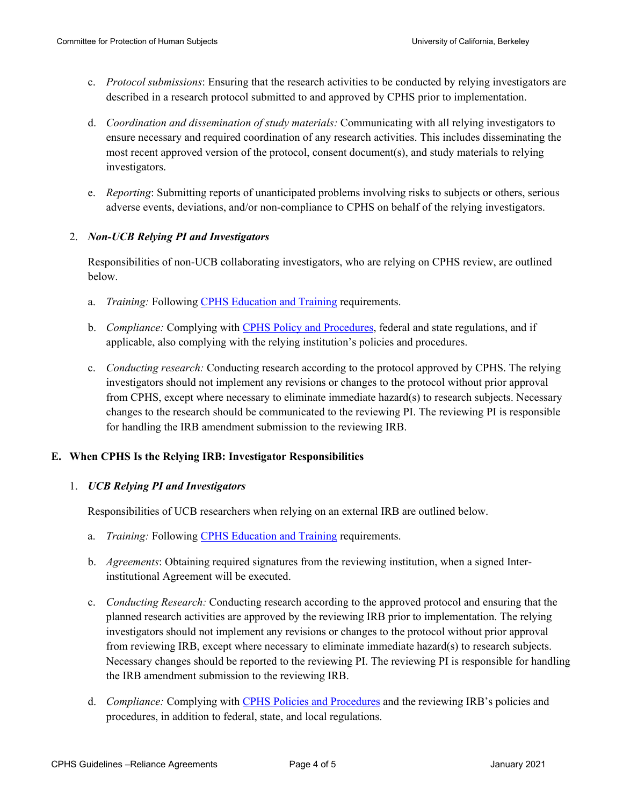- c. *Protocol submissions*: Ensuring that the research activities to be conducted by relying investigators are described in a research protocol submitted to and approved by CPHS prior to implementation.
- d. *Coordination and dissemination of study materials:* Communicating with all relying investigators to ensure necessary and required coordination of any research activities. This includes disseminating the most recent approved version of the protocol, consent document(s), and study materials to relying investigators.
- e. *Reporting*: Submitting reports of unanticipated problems involving risks to subjects or others, serious adverse events, deviations, and/or non-compliance to CPHS on behalf of the relying investigators.

#### <span id="page-3-0"></span>2. *Non-UCB Relying PI and Investigators*

Responsibilities of non-UCB collaborating investigators, who are relying on CPHS review, are outlined below.

- a. *Training:* Following [CPHS Education and Training](http://cphs.berkeley.edu/training.html) requirements.
- b. *Compliance:* Complying with [CPHS Policy and Procedures,](http://cphs.berkeley.edu/policies_procedures.html) federal and state regulations, and if applicable, also complying with the relying institution's policies and procedures.
- c. *Conducting research:* Conducting research according to the protocol approved by CPHS. The relying investigators should not implement any revisions or changes to the protocol without prior approval from CPHS, except where necessary to eliminate immediate hazard(s) to research subjects. Necessary changes to the research should be communicated to the reviewing PI. The reviewing PI is responsible for handling the IRB amendment submission to the reviewing IRB.

#### <span id="page-3-1"></span>**E. When CPHS Is the Relying IRB: Investigator Responsibilities**

#### <span id="page-3-2"></span>1. *UCB Relying PI and Investigators*

Responsibilities of UCB researchers when relying on an external IRB are outlined below.

- a. *Training:* Following [CPHS Education and Training](http://cphs.berkeley.edu/training.html) requirements.
- b. *Agreements*: Obtaining required signatures from the reviewing institution, when a signed Interinstitutional Agreement will be executed.
- c. *Conducting Research:* Conducting research according to the approved protocol and ensuring that the planned research activities are approved by the reviewing IRB prior to implementation. The relying investigators should not implement any revisions or changes to the protocol without prior approval from reviewing IRB, except where necessary to eliminate immediate hazard(s) to research subjects. Necessary changes should be reported to the reviewing PI. The reviewing PI is responsible for handling the IRB amendment submission to the reviewing IRB.
- d. *Compliance:* Complying with [CPHS Policies and Procedures](http://cphs.berkeley.edu/policies_procedures.html) and the reviewing IRB's policies and procedures, in addition to federal, state, and local regulations.